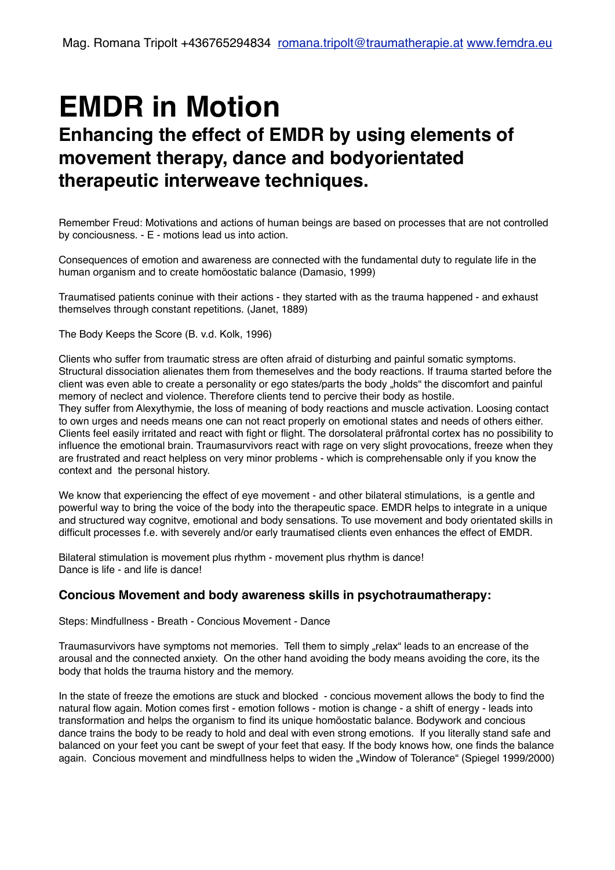# **EMDR in Motion**

# **Enhancing the effect of EMDR by using elements of movement therapy, dance and bodyorientated therapeutic interweave techniques.**

Remember Freud: Motivations and actions of human beings are based on processes that are not controlled by conciousness. - E - motions lead us into action.

Consequences of emotion and awareness are connected with the fundamental duty to regulate life in the human organism and to create homöostatic balance (Damasio, 1999)

Traumatised patients coninue with their actions - they started with as the trauma happened - and exhaust themselves through constant repetitions. (Janet, 1889)

The Body Keeps the Score (B. v.d. Kolk, 1996)

Clients who suffer from traumatic stress are often afraid of disturbing and painful somatic symptoms. Structural dissociation alienates them from themeselves and the body reactions. If trauma started before the client was even able to create a personality or ego states/parts the body "holds" the discomfort and painful memory of neclect and violence. Therefore clients tend to percive their body as hostile. They suffer from Alexythymie, the loss of meaning of body reactions and muscle activation. Loosing contact to own urges and needs means one can not react properly on emotional states and needs of others either. Clients feel easily irritated and react with fight or flight. The dorsolateral präfrontal cortex has no possibility to influence the emotional brain. Traumasurvivors react with rage on very slight provocations, freeze when they are frustrated and react helpless on very minor problems - which is comprehensable only if you know the context and the personal history.

We know that experiencing the effect of eye movement - and other bilateral stimulations, is a gentle and powerful way to bring the voice of the body into the therapeutic space. EMDR helps to integrate in a unique and structured way cognitve, emotional and body sensations. To use movement and body orientated skills in difficult processes f.e. with severely and/or early traumatised clients even enhances the effect of EMDR.

Bilateral stimulation is movement plus rhythm - movement plus rhythm is dance! Dance is life - and life is dance!

## **Concious Movement and body awareness skills in psychotraumatherapy:**

Steps: Mindfullness - Breath - Concious Movement - Dance

Traumasurvivors have symptoms not memories. Tell them to simply "relax" leads to an encrease of the arousal and the connected anxiety. On the other hand avoiding the body means avoiding the core, its the body that holds the trauma history and the memory.

In the state of freeze the emotions are stuck and blocked - concious movement allows the body to find the natural flow again. Motion comes first - emotion follows - motion is change - a shift of energy - leads into transformation and helps the organism to find its unique homöostatic balance. Bodywork and concious dance trains the body to be ready to hold and deal with even strong emotions. If you literally stand safe and balanced on your feet you cant be swept of your feet that easy. If the body knows how, one finds the balance again. Concious movement and mindfullness helps to widen the "Window of Tolerance" (Spiegel 1999/2000)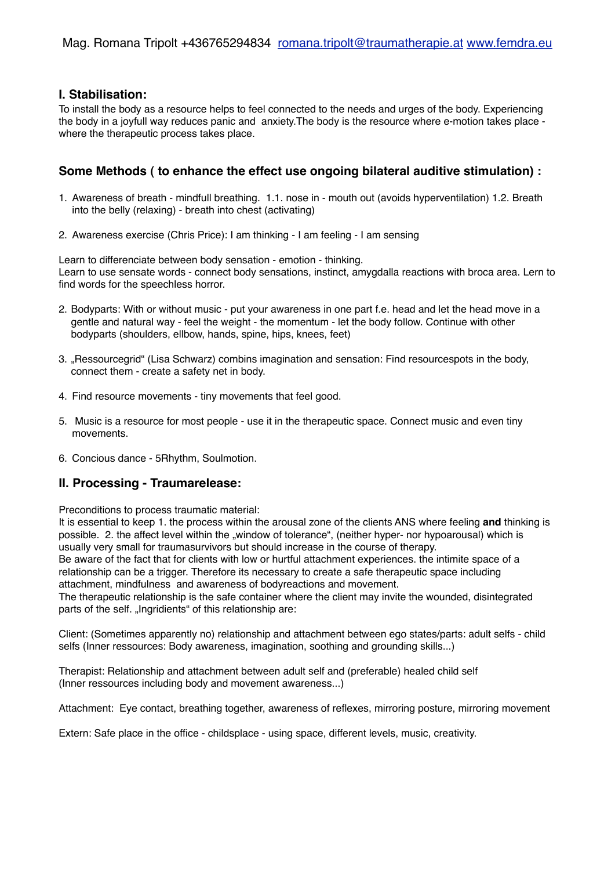#### **I. Stabilisation:**

To install the body as a resource helps to feel connected to the needs and urges of the body. Experiencing the body in a joyfull way reduces panic and anxiety.The body is the resource where e-motion takes place where the therapeutic process takes place.

# **Some Methods ( to enhance the effect use ongoing bilateral auditive stimulation) :**

- 1. Awareness of breath mindfull breathing. 1.1. nose in mouth out (avoids hyperventilation) 1.2. Breath into the belly (relaxing) - breath into chest (activating)
- 2. Awareness exercise (Chris Price): I am thinking I am feeling I am sensing

Learn to differenciate between body sensation - emotion - thinking. Learn to use sensate words - connect body sensations, instinct, amygdalla reactions with broca area. Lern to find words for the speechless horror.

- 2. Bodyparts: With or without music put your awareness in one part f.e. head and let the head move in a gentle and natural way - feel the weight - the momentum - let the body follow. Continue with other bodyparts (shoulders, ellbow, hands, spine, hips, knees, feet)
- 3. "Ressourcegrid" (Lisa Schwarz) combins imagination and sensation: Find resourcespots in the body, connect them - create a safety net in body.
- 4. Find resource movements tiny movements that feel good.
- 5. Music is a resource for most people use it in the therapeutic space. Connect music and even tiny movements.
- 6. Concious dance 5Rhythm, Soulmotion.

# **II. Processing - Traumarelease:**

Preconditions to process traumatic material:

It is essential to keep 1. the process within the arousal zone of the clients ANS where feeling **and** thinking is possible. 2. the affect level within the "window of tolerance", (neither hyper- nor hypoarousal) which is usually very small for traumasurvivors but should increase in the course of therapy. Be aware of the fact that for clients with low or hurtful attachment experiences. the intimite space of a relationship can be a trigger. Therefore its necessary to create a safe therapeutic space including attachment, mindfulness and awareness of bodyreactions and movement.

The therapeutic relationship is the safe container where the client may invite the wounded, disintegrated parts of the self. "Ingridients" of this relationship are:

Client: (Sometimes apparently no) relationship and attachment between ego states/parts: adult selfs - child selfs (Inner ressources: Body awareness, imagination, soothing and grounding skills...)

Therapist: Relationship and attachment between adult self and (preferable) healed child self (Inner ressources including body and movement awareness...)

Attachment: Eye contact, breathing together, awareness of reflexes, mirroring posture, mirroring movement

Extern: Safe place in the office - childsplace - using space, different levels, music, creativity.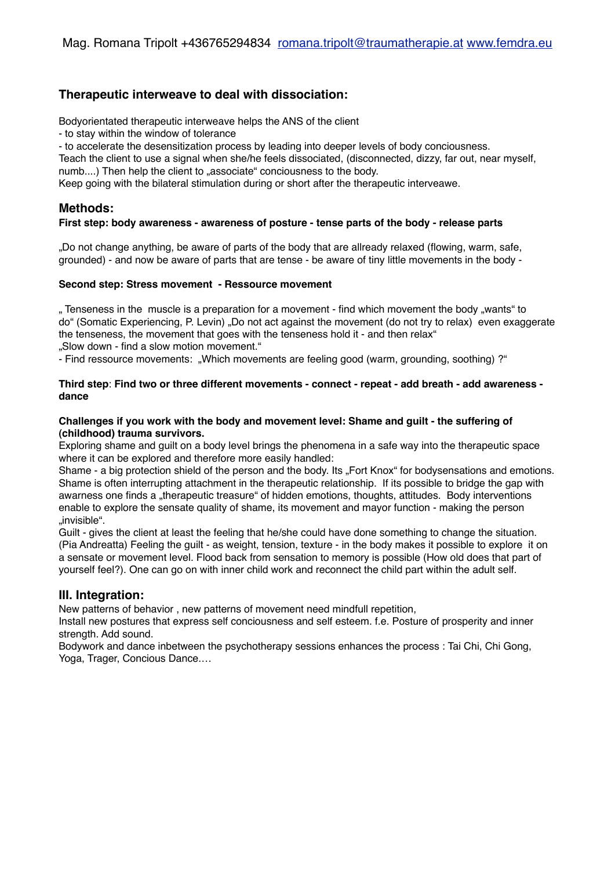# **Therapeutic interweave to deal with dissociation:**

Bodyorientated therapeutic interweave helps the ANS of the client

- to stay within the window of tolerance

- to accelerate the desensitization process by leading into deeper levels of body conciousness.

Teach the client to use a signal when she/he feels dissociated, (disconnected, dizzy, far out, near myself, numb....) Then help the client to .associate conciousness to the body.

Keep going with the bilateral stimulation during or short after the therapeutic interveawe.

### **Methods:**

#### **First step: body awareness - awareness of posture - tense parts of the body - release parts**

"Do not change anything, be aware of parts of the body that are allready relaxed (flowing, warm, safe, grounded) - and now be aware of parts that are tense - be aware of tiny little movements in the body -

#### **Second step: Stress movement - Ressource movement**

" Tenseness in the muscle is a preparation for a movement - find which movement the body "wants" to do" (Somatic Experiencing, P. Levin) "Do not act against the movement (do not try to relax) even exaggerate the tenseness, the movement that goes with the tenseness hold it - and then relax" "Slow down - find a slow motion movement."

- Find ressource movements: "Which movements are feeling good (warm, grounding, soothing) ?"

#### **Third step**: **Find two or three different movements - connect - repeat - add breath - add awareness dance**

#### **Challenges if you work with the body and movement level: Shame and guilt - the suffering of (childhood) trauma survivors.**

Exploring shame and guilt on a body level brings the phenomena in a safe way into the therapeutic space where it can be explored and therefore more easily handled:

Shame - a big protection shield of the person and the body. Its "Fort Knox" for bodysensations and emotions. Shame is often interrupting attachment in the therapeutic relationship. If its possible to bridge the gap with awarness one finds a "therapeutic treasure" of hidden emotions, thoughts, attitudes. Body interventions enable to explore the sensate quality of shame, its movement and mayor function - making the person "invisible".

Guilt - gives the client at least the feeling that he/she could have done something to change the situation. (Pia Andreatta) Feeling the guilt - as weight, tension, texture - in the body makes it possible to explore it on a sensate or movement level. Flood back from sensation to memory is possible (How old does that part of yourself feel?). One can go on with inner child work and reconnect the child part within the adult self.

#### **III. Integration:**

New patterns of behavior , new patterns of movement need mindfull repetition,

Install new postures that express self conciousness and self esteem. f.e. Posture of prosperity and inner strength. Add sound.

Bodywork and dance inbetween the psychotherapy sessions enhances the process : Tai Chi, Chi Gong, Yoga, Trager, Concious Dance.…